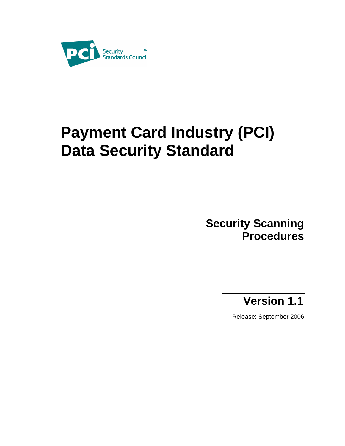

# **Payment Card Industry (PCI) Data Security Standard**

## **Security Scanning Procedures**

## **Version 1.1**

Release: September 2006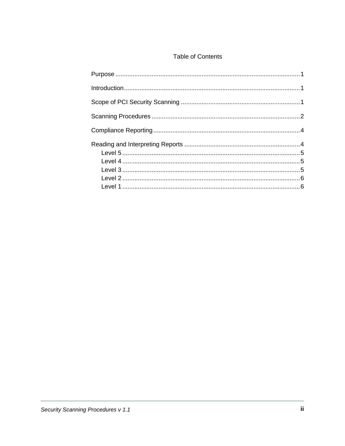#### **Table of Contents**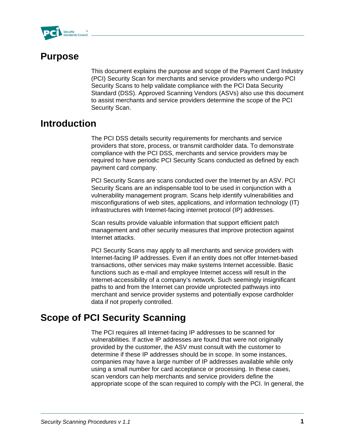

### **Purpose**

This document explains the purpose and scope of the Payment Card Industry (PCI) Security Scan for merchants and service providers who undergo PCI Security Scans to help validate compliance with the PCI Data Security Standard (DSS). Approved Scanning Vendors (ASVs) also use this document to assist merchants and service providers determine the scope of the PCI Security Scan.

#### **Introduction**

The PCI DSS details security requirements for merchants and service providers that store, process, or transmit cardholder data. To demonstrate compliance with the PCI DSS, merchants and service providers may be required to have periodic PCI Security Scans conducted as defined by each payment card company.

PCI Security Scans are scans conducted over the Internet by an ASV. PCI Security Scans are an indispensable tool to be used in conjunction with a vulnerability management program. Scans help identify vulnerabilities and misconfigurations of web sites, applications, and information technology (IT) infrastructures with Internet-facing internet protocol (IP) addresses.

Scan results provide valuable information that support efficient patch management and other security measures that improve protection against Internet attacks.

PCI Security Scans may apply to all merchants and service providers with Internet-facing IP addresses. Even if an entity does not offer Internet-based transactions, other services may make systems Internet accessible. Basic functions such as e-mail and employee Internet access will result in the Internet-accessibility of a company's network. Such seemingly insignificant paths to and from the Internet can provide unprotected pathways into merchant and service provider systems and potentially expose cardholder data if not properly controlled.

## **Scope of PCI Security Scanning**

The PCI requires all Internet-facing IP addresses to be scanned for vulnerabilities. If active IP addresses are found that were not originally provided by the customer, the ASV must consult with the customer to determine if these IP addresses should be in scope. In some instances, companies may have a large number of IP addresses available while only using a small number for card acceptance or processing. In these cases, scan vendors can help merchants and service providers define the appropriate scope of the scan required to comply with the PCI. In general, the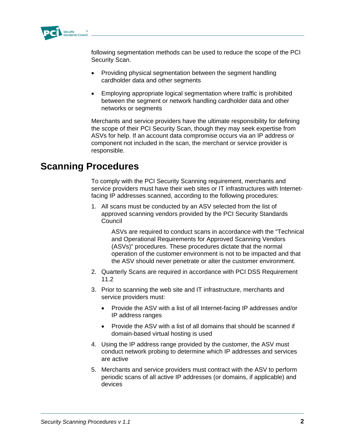

following segmentation methods can be used to reduce the scope of the PCI Security Scan.

- Providing physical segmentation between the segment handling cardholder data and other segments
- Employing appropriate logical segmentation where traffic is prohibited between the segment or network handling cardholder data and other networks or segments

Merchants and service providers have the ultimate responsibility for defining the scope of their PCI Security Scan, though they may seek expertise from ASVs for help. If an account data compromise occurs via an IP address or component not included in the scan, the merchant or service provider is responsible.

### **Scanning Procedures**

To comply with the PCI Security Scanning requirement, merchants and service providers must have their web sites or IT infrastructures with Internetfacing IP addresses scanned, according to the following procedures:

1. All scans must be conducted by an ASV selected from the list of approved scanning vendors provided by the PCI Security Standards **Council** 

ASVs are required to conduct scans in accordance with the "Technical and Operational Requirements for Approved Scanning Vendors (ASVs)" procedures. These procedures dictate that the normal operation of the customer environment is not to be impacted and that the ASV should never penetrate or alter the customer environment.

- 2. Quarterly Scans are required in accordance with PCI DSS Requirement 11.2
- 3. Prior to scanning the web site and IT infrastructure, merchants and service providers must:
	- Provide the ASV with a list of all Internet-facing IP addresses and/or IP address ranges
	- Provide the ASV with a list of all domains that should be scanned if domain-based virtual hosting is used
- 4. Using the IP address range provided by the customer, the ASV must conduct network probing to determine which IP addresses and services are active
- 5. Merchants and service providers must contract with the ASV to perform periodic scans of all active IP addresses (or domains, if applicable) and devices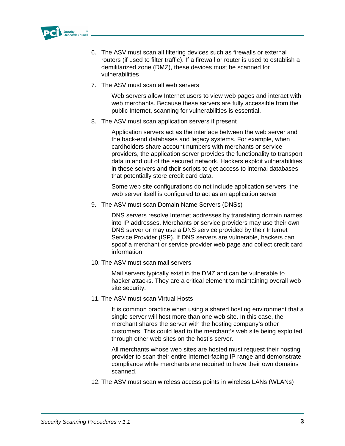

- 6. The ASV must scan all filtering devices such as firewalls or external routers (if used to filter traffic). If a firewall or router is used to establish a demilitarized zone (DMZ), these devices must be scanned for vulnerabilities
- 7. The ASV must scan all web servers

Web servers allow Internet users to view web pages and interact with web merchants. Because these servers are fully accessible from the public Internet, scanning for vulnerabilities is essential.

8. The ASV must scan application servers if present

Application servers act as the interface between the web server and the back-end databases and legacy systems. For example, when cardholders share account numbers with merchants or service providers, the application server provides the functionality to transport data in and out of the secured network. Hackers exploit vulnerabilities in these servers and their scripts to get access to internal databases that potentially store credit card data.

Some web site configurations do not include application servers; the web server itself is configured to act as an application server

9. The ASV must scan Domain Name Servers (DNSs)

DNS servers resolve Internet addresses by translating domain names into IP addresses. Merchants or service providers may use their own DNS server or may use a DNS service provided by their Internet Service Provider (ISP). If DNS servers are vulnerable, hackers can spoof a merchant or service provider web page and collect credit card information

10. The ASV must scan mail servers

Mail servers typically exist in the DMZ and can be vulnerable to hacker attacks. They are a critical element to maintaining overall web site security.

11. The ASV must scan Virtual Hosts

It is common practice when using a shared hosting environment that a single server will host more than one web site. In this case, the merchant shares the server with the hosting company's other customers. This could lead to the merchant's web site being exploited through other web sites on the host's server.

All merchants whose web sites are hosted must request their hosting provider to scan their entire Internet-facing IP range and demonstrate compliance while merchants are required to have their own domains scanned.

12. The ASV must scan wireless access points in wireless LANs (WLANs)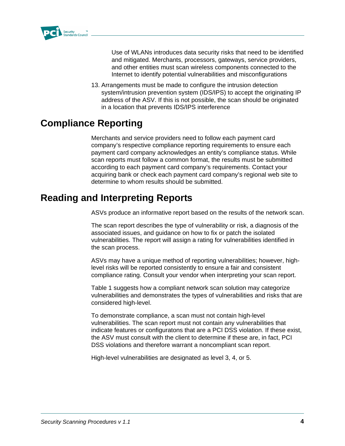

Use of WLANs introduces data security risks that need to be identified and mitigated. Merchants, processors, gateways, service providers, and other entities must scan wireless components connected to the Internet to identify potential vulnerabilities and misconfigurations

13. Arrangements must be made to configure the intrusion detection system/intrusion prevention system (IDS/IPS) to accept the originating IP address of the ASV. If this is not possible, the scan should be originated in a location that prevents IDS/IPS interference

## **Compliance Reporting**

Merchants and service providers need to follow each payment card company's respective compliance reporting requirements to ensure each payment card company acknowledges an entity's compliance status. While scan reports must follow a common format, the results must be submitted according to each payment card company's requirements. Contact your acquiring bank or check each payment card company's regional web site to determine to whom results should be submitted.

## **Reading and Interpreting Reports**

ASVs produce an informative report based on the results of the network scan.

The scan report describes the type of vulnerability or risk, a diagnosis of the associated issues, and guidance on how to fix or patch the isolated vulnerabilities. The report will assign a rating for vulnerabilities identified in the scan process.

ASVs may have a unique method of reporting vulnerabilities; however, highlevel risks will be reported consistently to ensure a fair and consistent compliance rating. Consult your vendor when interpreting your scan report.

Table 1 suggests how a compliant network scan solution may categorize vulnerabilities and demonstrates the types of vulnerabilities and risks that are considered high-level.

To demonstrate compliance, a scan must not contain high-level vulnerabilities. The scan report must not contain any vulnerabilities that indicate features or configuratons that are a PCI DSS violation. If these exist, the ASV must consult with the client to determine if these are, in fact, PCI DSS violations and therefore warrant a noncompliant scan report.

High-level vulnerabilities are designated as level 3, 4, or 5.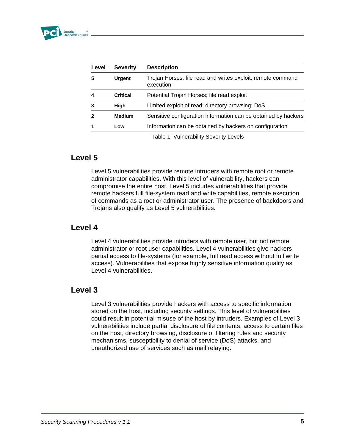| Level                   | <b>Severity</b> | <b>Description</b>                                                       |
|-------------------------|-----------------|--------------------------------------------------------------------------|
| 5                       | <b>Urgent</b>   | Trojan Horses; file read and writes exploit; remote command<br>execution |
| $\overline{\mathbf{4}}$ | <b>Critical</b> | Potential Trojan Horses; file read exploit                               |
| 3                       | High            | Limited exploit of read; directory browsing; DoS                         |
| $\mathbf{2}$            | <b>Medium</b>   | Sensitive configuration information can be obtained by hackers           |
| 1                       | Low             | Information can be obtained by hackers on configuration                  |
|                         |                 | Table 1 Vulnerability Severity Levels                                    |

#### **Level 5**

Level 5 vulnerabilities provide remote intruders with remote root or remote administrator capabilities. With this level of vulnerability, hackers can compromise the entire host. Level 5 includes vulnerabilities that provide remote hackers full file-system read and write capabilities, remote execution of commands as a root or administrator user. The presence of backdoors and Trojans also qualify as Level 5 vulnerabilities.

#### **Level 4**

Level 4 vulnerabilities provide intruders with remote user, but not remote administrator or root user capabilities. Level 4 vulnerabilities give hackers partial access to file-systems (for example, full read access without full write access). Vulnerabilities that expose highly sensitive information qualify as Level 4 vulnerabilities.

#### **Level 3**

Level 3 vulnerabilities provide hackers with access to specific information stored on the host, including security settings. This level of vulnerabilities could result in potential misuse of the host by intruders. Examples of Level 3 vulnerabilities include partial disclosure of file contents, access to certain files on the host, directory browsing, disclosure of filtering rules and security mechanisms, susceptibility to denial of service (DoS) attacks, and unauthorized use of services such as mail relaying.